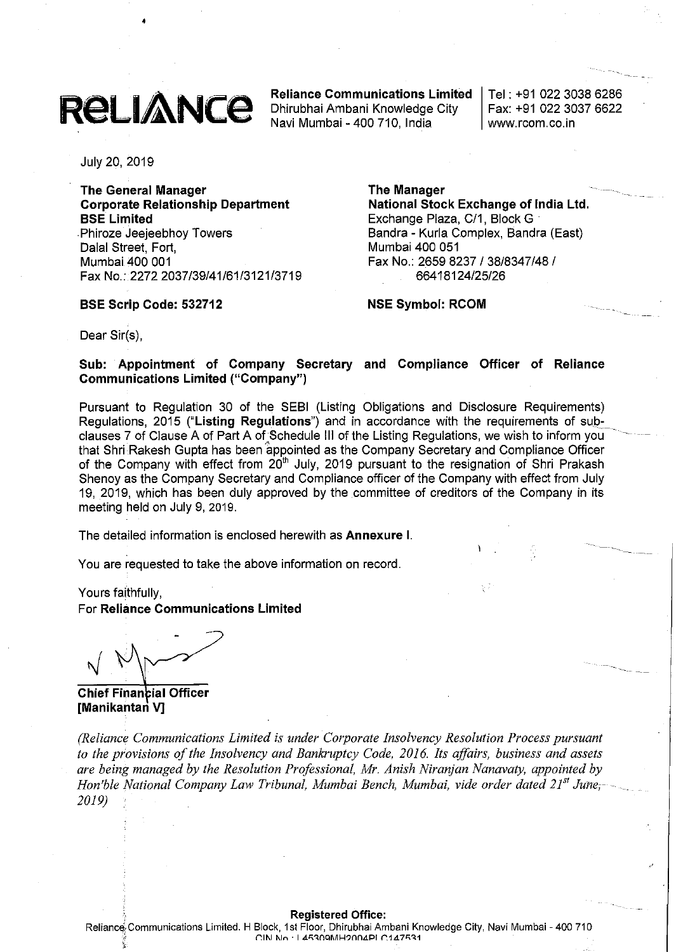

•

**Reliance Communications Limited** Dhirubhai Ambani Knowledge City Navi Mumbai - 400 710, India

Tel: +91 02230386286 Fax: +91 02230376622 www.rcom.co.in

-'----

July 20, 2019

**The General Manager Corporate Relationship Department SSE Limited** Phiroze Jeejeebhoy Towers Dalal Street, Fort, Mumbai 400 001 Fax No.: 2272 2037/39/41/61/3121/3719

#### **SSE Scrip Code: 532712**

**The Manager National Stock Exchange of India Ltd.** Exchange Plaza, C/1, Block G Bandra - Kurla Complex, Bandra (East) Mumbai 400 051 Fax No.: 26598237/38/8347/48/ 66418124/25/26

**NSE Symbol: RCOM**

Dear Sir(s),

**Sub: Appointment of Company Secretary and Compliance Officer of Reliance Communications Limited ("Company")**

Pursuant to Regulation 30 of the SEBI (Listing Obligations and Disclosure Requirements) Regulations, 2015 **("Listing Regulations")** and in accordance with the requirements of sub-\_ clauses 7 of Clause A of Part A of Schedule III of the Listing Regulations, we wish to inform you that Shri Rakesh Gupta has been appointed as the Company Secretary and Compliance Officer of the Company with effect from 20<sup>th</sup> July, 2019 pursuant to the resignation of Shri Prakash Shenoy as the Company Secretary and Compliance officer of the Company with effect from July 19, 2019, which has been duly approved by the committee of creditors of the Company in its meeting held on July 9, 2019.

The detailed information is enclosed herewith as **Annexure I.**

You are requested to take the above information on record.

Yours faithfully, For **Reliance Communications Limited**

**Chief Finan ial Officer [Manikantan V]**

*(Reliance Communications Limited is under Corporate Insolvency Resolution Process pursuant to the provisions ofthe Insolvency and Bankruptcy Code, 2016. Its affairs, business and assets are being managed by the Resolution Professional, Mr. Anish Niranjan Nanavaty, appointed by Hon'ble National Company Law Tribunal, Mumbai Bench, Mumbai, vide order dated 21" June;-- 2019)*

#### , **Registered Office:**

Reliance Communications Limited. H Block, 1st Floor, Dhirubhai Ambani Knowledge City, Navi Mumbai - 400 710  $C\,$ IN No. 145309MH2004PI C147531 *'t*